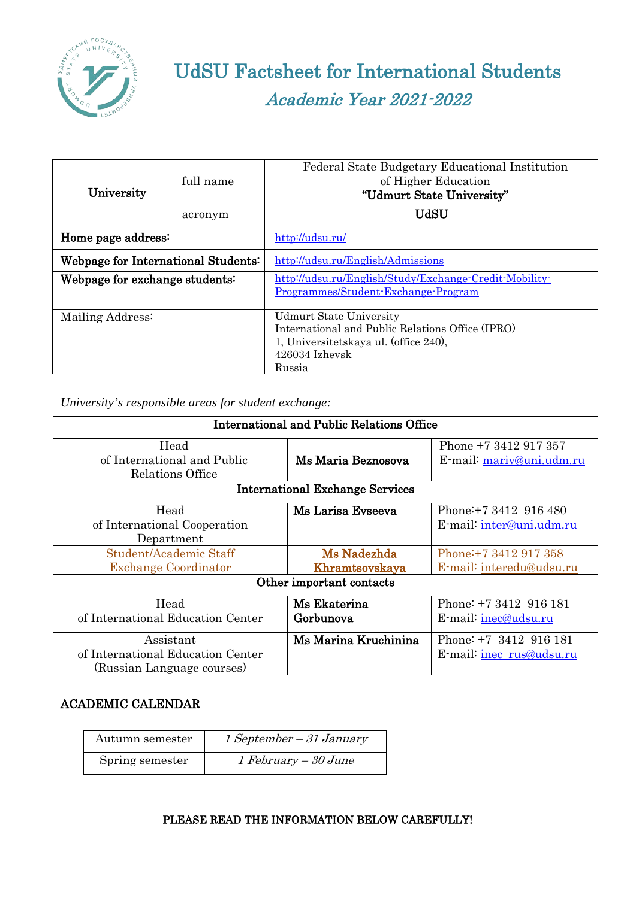

# UdSU Factsheet for International Students Academic Year 2021-2022

| University                          | full name | Federal State Budgetary Educational Institution<br>of Higher Education<br>"Udmurt State University"                                                       |
|-------------------------------------|-----------|-----------------------------------------------------------------------------------------------------------------------------------------------------------|
|                                     | acronym   | <b>UdSU</b>                                                                                                                                               |
| Home page address:                  |           | http://udsu.ru/                                                                                                                                           |
| Webpage for International Students: |           | http://udsu.ru/English/Admissions                                                                                                                         |
| Webpage for exchange students:      |           | http://udsu.ru/English/Study/Exchange-Credit-Mobility-<br>Programmes/Student-Exchange-Program                                                             |
| Mailing Address:                    |           | <b>Udmurt State University</b><br>International and Public Relations Office (IPRO)<br>1, Universitetskaya ul. (office 240),<br>$426034$ Izhevsk<br>Russia |

*University's responsible areas for student exchange:*

| <b>International and Public Relations Office</b> |                                        |                          |
|--------------------------------------------------|----------------------------------------|--------------------------|
| Head                                             |                                        | Phone +7 3412 917 357    |
| of International and Public                      | Ms Maria Beznosova                     | E-mail: mariv@uni.udm.ru |
| Relations Office                                 |                                        |                          |
|                                                  | <b>International Exchange Services</b> |                          |
| Head                                             | Ms Larisa Evseeva                      | Phone: +7 3412 916 480   |
| of International Cooperation                     |                                        | E-mail: inter@uni.udm.ru |
| Department                                       |                                        |                          |
| Student/Academic Staff                           | Ms Nadezhda                            | Phone: +7 3412 917 358   |
| <b>Exchange Coordinator</b>                      | Khramtsovskaya                         | E-mail: interedu@udsu.ru |
|                                                  | Other important contacts               |                          |
| Head                                             | Ms Ekaterina                           | Phone: +7 3412 916 181   |
| of International Education Center                | Gorbunova                              | E-mail: inec@udsu.ru     |
| Assistant                                        | Ms Marina Kruchinina                   | Phone: +7 3412 916 181   |
| of International Education Center                |                                        | E-mail: inec_rus@udsu.ru |
| (Russian Language courses)                       |                                        |                          |

# ACADEMIC CALENDAR

| Autumn semester | $1 September-31 January$ |
|-----------------|--------------------------|
| Spring semester | $1 February - 30 June$   |

# PLEASE READ THE INFORMATION BELOW CAREFULLY!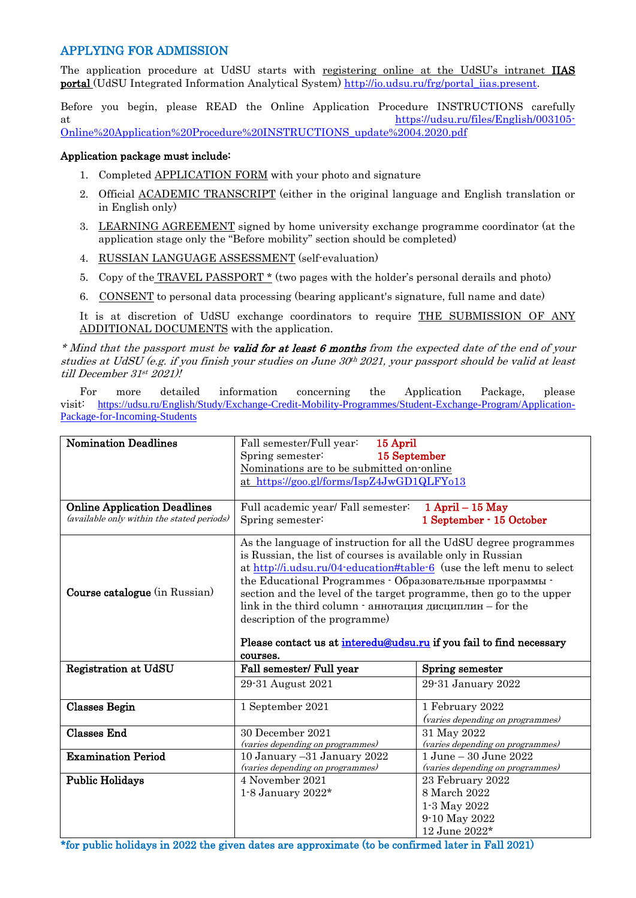## APPLYING FOR ADMISSION

The application procedure at UdSU starts with registering online at the UdSU's intranet IIAS portal (UdSU Integrated Information Analytical System) [http://io.udsu.ru/frg/portal\\_iias.present.](http://io.udsu.ru/frg/portal_iias.present)

Before you begin, please READ the Online Application Procedure INSTRUCTIONS carefully at [https://udsu.ru/files/English/003105-](https://udsu.ru/files/English/003105-Online%20Application%20Procedure%20INSTRUCTIONS_update%2004.2020.pdf) [Online%20Application%20Procedure%20INSTRUCTIONS\\_update%2004.2020.pdf](https://udsu.ru/files/English/003105-Online%20Application%20Procedure%20INSTRUCTIONS_update%2004.2020.pdf)

### Application package must include:

- 1. Completed **APPLICATION FORM** with your photo and signature
- 2. Official ACADEMIC TRANSCRIPT (either in the original language and English translation or in English only)
- 3. LEARNING AGREEMENT signed by home university exchange programme coordinator (at the application stage only the "Before mobility" section should be completed)
- 4. RUSSIAN LANGUAGE ASSESSMENT (self-evaluation)
- 5. Copy of the TRAVEL PASSPORT \* (two pages with the holder's personal derails and photo)
- 6. CONSENT to personal data processing (bearing applicant's signature, full name and date)

It is at discretion of UdSU exchange coordinators to require THE SUBMISSION OF ANY ADDITIONAL DOCUMENTS with the application.

\* Mind that the passport must be **valid for at least 6 months** from the expected date of the end of your studies at UdSU (e.g. if you finish your studies on June  $30<sup>th</sup> 2021$ , your passport should be valid at least till December 31st 2021)!

For more detailed information concerning the Application Package, please visit: [https://udsu.ru/English/Study/Exchange-Credit-Mobility-Programmes/Student-Exchange-Program/Application-](https://udsu.ru/English/Study/Exchange-Credit-Mobility-Programmes/Student-Exchange-Program/Application-Package-for-Incoming-Students)[Package-for-Incoming-Students](https://udsu.ru/English/Study/Exchange-Credit-Mobility-Programmes/Student-Exchange-Program/Application-Package-for-Incoming-Students)

| <b>Nomination Deadlines</b>                                                       | Fall semester/Full year:<br>15 April<br>Spring semester:<br>15 September<br>Nominations are to be submitted on online<br>at https://goo.gl/forms/IspZ4JwGD1QLFY013                                                                                                                                                                                                                                                                                                                                                            |                                                                                    |
|-----------------------------------------------------------------------------------|-------------------------------------------------------------------------------------------------------------------------------------------------------------------------------------------------------------------------------------------------------------------------------------------------------------------------------------------------------------------------------------------------------------------------------------------------------------------------------------------------------------------------------|------------------------------------------------------------------------------------|
| <b>Online Application Deadlines</b><br>(available only within the stated periods) | Full academic year/ Fall semester:<br>Spring semester:                                                                                                                                                                                                                                                                                                                                                                                                                                                                        | $1$ April $-15$ May<br>1 September - 15 October                                    |
| Course catalogue (in Russian)                                                     | As the language of instruction for all the UdSU degree programmes<br>is Russian, the list of courses is available only in Russian<br>at http://i.udsu.ru/04-education#table-6 (use the left menu to select<br>the Educational Programmes - Образовательные программы -<br>section and the level of the target programme, then go to the upper<br>link in the third column - аннотация дисциплин - for the<br>description of the programme)<br>Please contact us at interedu@udsu.ru if you fail to find necessary<br>courses. |                                                                                    |
| <b>Registration at UdSU</b>                                                       | Fall semester/ Full year<br>29-31 August 2021                                                                                                                                                                                                                                                                                                                                                                                                                                                                                 | Spring semester<br>29-31 January 2022                                              |
| <b>Classes Begin</b>                                                              | 1 September 2021                                                                                                                                                                                                                                                                                                                                                                                                                                                                                                              | 1 February 2022<br>(varies depending on programmes)                                |
| <b>Classes End</b>                                                                | 30 December 2021<br>(varies depending on programmes)                                                                                                                                                                                                                                                                                                                                                                                                                                                                          | 31 May 2022<br>(varies depending on programmes)                                    |
| <b>Examination Period</b>                                                         | 10 January -31 January 2022<br>(varies depending on programmes)                                                                                                                                                                                                                                                                                                                                                                                                                                                               | 1 June - 30 June 2022<br>(varies depending on programmes)                          |
| <b>Public Holidays</b>                                                            | 4 November 2021<br>$1-8$ January $2022*$                                                                                                                                                                                                                                                                                                                                                                                                                                                                                      | 23 February 2022<br>8 March 2022<br>1-3 May 2022<br>9-10 May 2022<br>12 June 2022* |

\*for public holidays in 2022 the given dates are approximate (to be confirmed later in Fall 2021)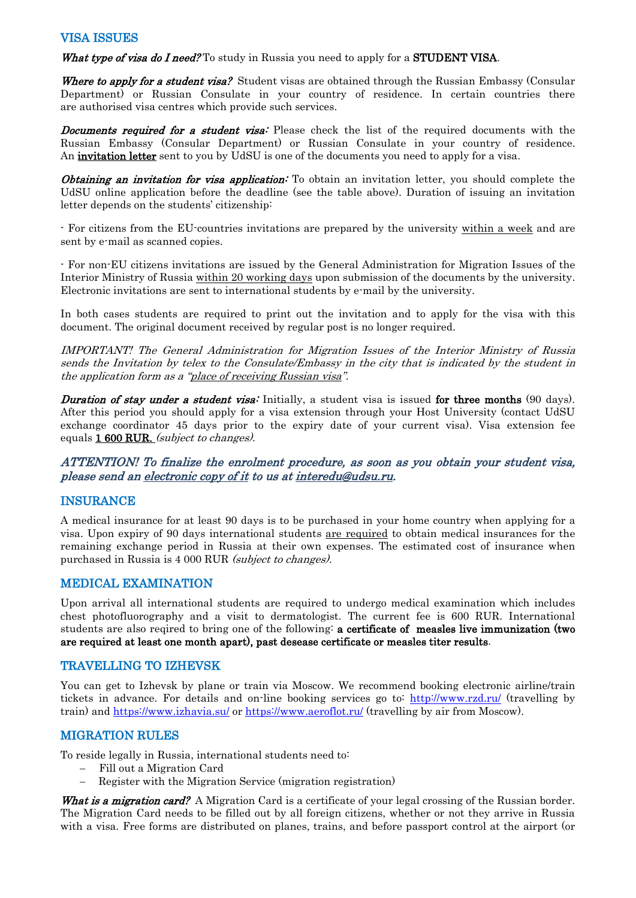## VISA ISSUES

What type of visa do I need? To study in Russia you need to apply for a STUDENT VISA.

Where to apply for a student visa? Student visas are obtained through the Russian Embassy (Consular Department) or [Russian Consulate](http://www.kdmid.ru/docs.aspx?ac=%D0%9A%D0%BE%D0%BD%D1%81%D1%83%D0%BB%D1%8C%D1%81%D0%BA%D0%B8%D0%B5%20%D1%83%D1%87%D1%80%D0%B5%D0%B6%D0%B4%D0%B5%D0%BD%D0%B8%D1%8F) in your country of residence. In certain countries there are authorised visa centres which provide such services.

**Documents required for a student visa:** Please check the list of the required documents with the Russian Embassy (Consular Department) or [Russian Consulate](http://www.kdmid.ru/docs.aspx?ac=%D0%9A%D0%BE%D0%BD%D1%81%D1%83%D0%BB%D1%8C%D1%81%D0%BA%D0%B8%D0%B5%20%D1%83%D1%87%D1%80%D0%B5%D0%B6%D0%B4%D0%B5%D0%BD%D0%B8%D1%8F) in your country of residence. An *invitation letter* sent to you by UdSU is one of the documents you need to apply for a visa.

**Obtaining an invitation for visa application:** To obtain an invitation letter, you should complete the UdSU online application before the deadline (see the table above). Duration of issuing an invitation letter depends on the students' citizenship:

- For citizens from the EU-countries invitations are prepared by the university within a week and are sent by e-mail as scanned copies.

- For non-EU citizens invitations are issued by the General Administration for Migration Issues of the Interior Ministry of Russia within 20 working days upon submission of the documents by the university. Electronic invitations are sent to international students by e-mail by the university.

In both cases students are required to print out the invitation and to apply for the visa with this document. The original document received by regular post is no longer required.

IMPORTANT! The General Administration for Migration Issues of the Interior Ministry of Russia sends the Invitation by telex to the Consulate/Embassy in the city that is indicated by the student in the application form as a "place of receiving Russian visa".

**Duration of stay under a student visa:** Initially, a student visa is issued for three months (90 days). After this period you should apply for a visa extension through your Host University (contact UdSU exchange coordinator 45 days prior to the expiry date of your current visa). Visa extension fee equals 1 600 RUR. (subject to changes).

ATTENTION! To finalize the enrolment procedure, as soon as you obtain your student visa, please send an electronic copy of it to us a[t interedu@udsu.ru.](mailto:interedu@udsu.ru)

# INSURANCE

A medical insurance for at least 90 days is to be purchased in your home country when applying for a visa. Upon expiry of 90 days international students are required to obtain medical insurances for the remaining exchange period in Russia at their own expenses. The estimated cost of insurance when purchased in Russia is 4 000 RUR (subject to changes).

# MEDICAL EXAMINATION

Upon arrival all international students are required to undergo medical examination which includes chest photofluorography and a visit to dermatologist. The current fee is 600 RUR. International students are also reqired to bring one of the following: a certificate of measles live immunization (two are required at least one month apart), past desease certificate or measles titer results.

## TRAVELLING TO IZHEVSK

You can get to Izhevsk by plane or train via Moscow. We recommend booking electronic airline/train tickets in advance. For details and on-line booking services go to: <http://www.rzd.ru/> (travelling by train) and <https://www.izhavia.su/> or<https://www.aeroflot.ru/> (travelling by air from Moscow).

# MIGRATION RULES

To reside legally in Russia, international students need to:

- − Fill out a Migration Card
- Register with the Migration Service (migration registration)

What is a migration card? A Migration Card is a certificate of your legal crossing of the Russian border. The Migration Card needs to be filled out by all foreign citizens, whether or not they arrive in Russia with a visa. Free forms are distributed on planes, trains, and before passport control at the airport (or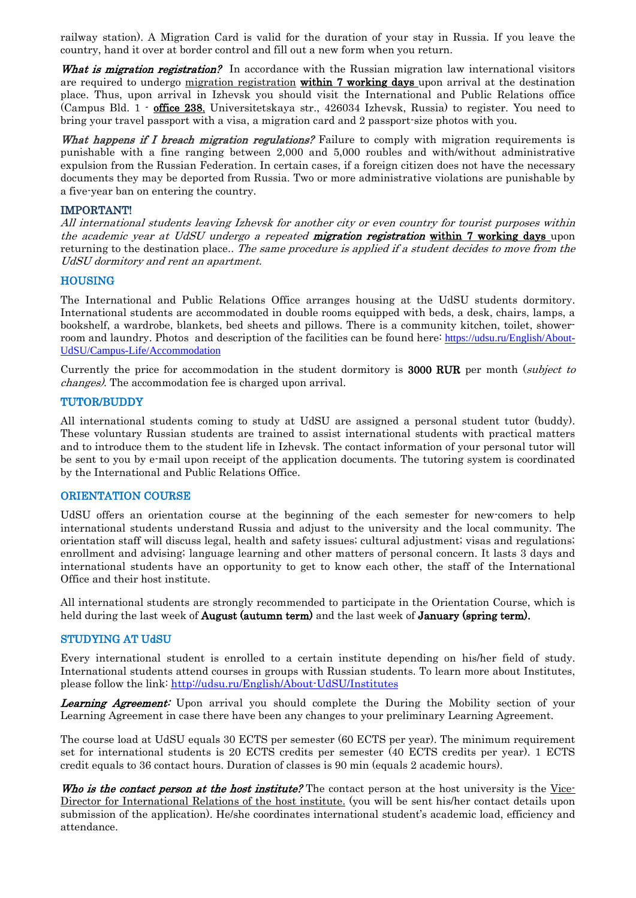railway station). A Migration Card is valid for the duration of your stay in Russia. If you leave the country, hand it over at border control and fill out a new form when you return.

What is migration registration? In accordance with the Russian migration law international visitors are required to undergo migration registration within 7 working days upon arrival at the destination place. Thus, upon arrival in Izhevsk you should visit the International and Public Relations office (Campus Bld. 1 - office 238, Universitetskaya str., 426034 Izhevsk, Russia) to register. You need to bring your travel passport with a visa, a migration card and 2 passport-size photos with you.

What happens if I breach migration regulations? Failure to comply with migration requirements is punishable with a fine ranging between 2,000 and 5,000 roubles and with/without administrative expulsion from the Russian Federation. In certain cases, if a foreign citizen does not have the necessary documents they may be deported from Russia. Two or more administrative violations are punishable by a five-year ban on entering the country.

#### IMPORTANT!

All international students leaving Izhevsk for another city or even country for tourist purposes within the academic year at UdSU undergo a repeated **migration registration within 7 working days** upon returning to the destination place.. The same procedure is applied if a student decides to move from the UdSU dormitory and rent an apartment.

#### **HOUSING**

The International and Public Relations Office arranges housing at the UdSU students dormitory. International students are accommodated in double rooms equipped with beds, a desk, chairs, lamps, a bookshelf, a wardrobe, blankets, bed sheets and pillows. There is a community kitchen, toilet, showerroom and laundry. Photos and description of the facilities can be found here: [https://udsu.ru/English/About-](https://udsu.ru/English/About-UdSU/Campus-Life/Accommodation)[UdSU/Campus-Life/Accommodation](https://udsu.ru/English/About-UdSU/Campus-Life/Accommodation)

Currently the price for accommodation in the student dormitory is 3000 RUR per month (subject to changes). The accommodation fee is charged upon arrival.

#### TUTOR/BUDDY

All international students coming to study at UdSU are assigned a personal student tutor (buddy). These voluntary Russian students are trained to assist international students with practical matters and to introduce them to the student life in Izhevsk. The contact information of your personal tutor will be sent to you by e-mail upon receipt of the application documents. The tutoring system is coordinated by the International and Public Relations Office.

#### ORIENTATION COURSE

UdSU offers an orientation course at the beginning of the each semester for new-comers to help international students understand Russia and adjust to the university and the local community. The orientation staff will discuss legal, health and safety issues; cultural adjustment; visas and regulations; enrollment and advising; language learning and other matters of personal concern. It lasts 3 days and international students have an opportunity to get to know each other, the staff of the International Office and their host institute.

All international students are strongly recommended to participate in the Orientation Course, which is held during the last week of **August** (autumn term) and the last week of **January** (spring term).

#### STUDYING AT UdSU

Every international student is enrolled to a certain institute depending on his/her field of study. International students attend courses in groups with Russian students. To learn more about Institutes, please follow the link:<http://udsu.ru/English/About-UdSU/Institutes>

**Learning Agreement:** Upon arrival you should complete the During the Mobility section of your Learning Agreement in case there have been any changes to your preliminary Learning Agreement.

The course load at UdSU equals 30 ECTS per semester (60 ECTS per year). The minimum requirement set for international students is 20 ECTS credits per semester (40 ECTS credits per year). 1 ECTS credit equals to 36 contact hours. Duration of classes is 90 min (equals 2 academic hours).

Who is the contact person at the host institute? The contact person at the host university is the Vice-Director for International Relations of the host institute. (you will be sent his/her contact details upon submission of the application). He/she coordinates international student's academic load, efficiency and attendance.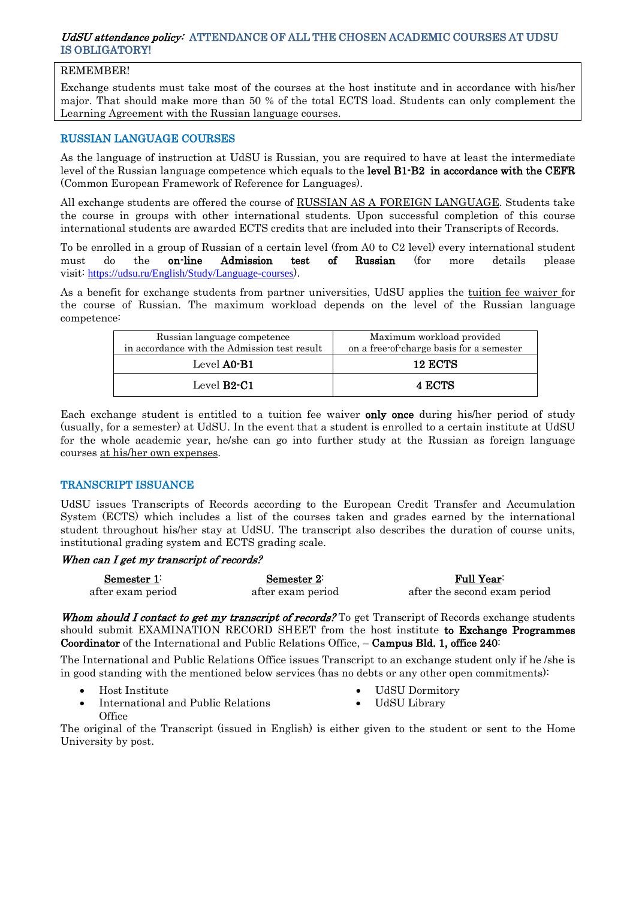### UdSU attendance policy: ATTENDANCE OF ALL THE CHOSEN ACADEMIC COURSES AT UDSU IS OBLIGATORY!

## REMEMBER!

Exchange students must take most of the courses at the host institute and in accordance with his/her major. That should make more than 50 % of the total ECTS load. Students can only complement the Learning Agreement with the Russian language courses.

## RUSSIAN LANGUAGE COURSES

As the language of instruction at UdSU is Russian, you are required to have at least the intermediate level of the Russian language competence which equals to the **level B1-B2** in accordance with the CEFR (Common European Framework of Reference for Languages).

All exchange students are offered the course of RUSSIAN AS A FOREIGN LANGUAGE. Students take the course in groups with other international students. Upon successful completion of this course international students are awarded ECTS credits that are included into their Transcripts of Records.

To be enrolled in a group of Russian of a certain level (from A0 to C2 level) every international student must do the **on-line Admission test of Russian** (for more details please visit: <https://udsu.ru/English/Study/Language-courses>).

As a benefit for exchange students from partner universities, UdSU applies the tuition fee waiver for the course of Russian. The maximum workload depends on the level of the Russian language competence:

| Russian language competence<br>in accordance with the Admission test result | Maximum workload provided<br>on a free-of-charge basis for a semester |
|-----------------------------------------------------------------------------|-----------------------------------------------------------------------|
| Level A0-B1                                                                 | <b>12 ECTS</b>                                                        |
| Level $B2-C1$                                                               | <b>4 ECTS</b>                                                         |

Each exchange student is entitled to a tuition fee waiver only once during his/her period of study (usually, for a semester) at UdSU. In the event that a student is enrolled to a certain institute at UdSU for the whole academic year, he/she can go into further study at the Russian as foreign language courses at his/her own expenses.

## TRANSCRIPT ISSUANCE

UdSU issues Transcripts of Records according to the European Credit Transfer and Accumulation System (ECTS) which includes a list of the courses taken and grades earned by the international student throughout his/her stay at UdSU. The transcript also describes the duration of course units, institutional grading system and ECTS grading scale.

## When can I get my transcript of records?

| Semester 1:       | Semester $2^{\frac{1}{2}}$ | <b>Full Year:</b>            |
|-------------------|----------------------------|------------------------------|
| after exam period | after exam period          | after the second exam period |

Whom should I contact to get my transcript of records? To get Transcript of Records exchange students should submit EXAMINATION RECORD SHEET from the host institute to Exchange Programmes Coordinator of the International and Public Relations Office, – Campus Bld. 1, office 240:

The International and Public Relations Office issues Transcript to an exchange student only if he /she is in good standing with the mentioned below services (has no debts or any other open commitments):

• Host Institute

- UdSU Dormitory
- International and Public Relations **Office**
- The original of the Transcript (issued in English) is either given to the student or sent to the Home University by post.
- 
- UdSU Library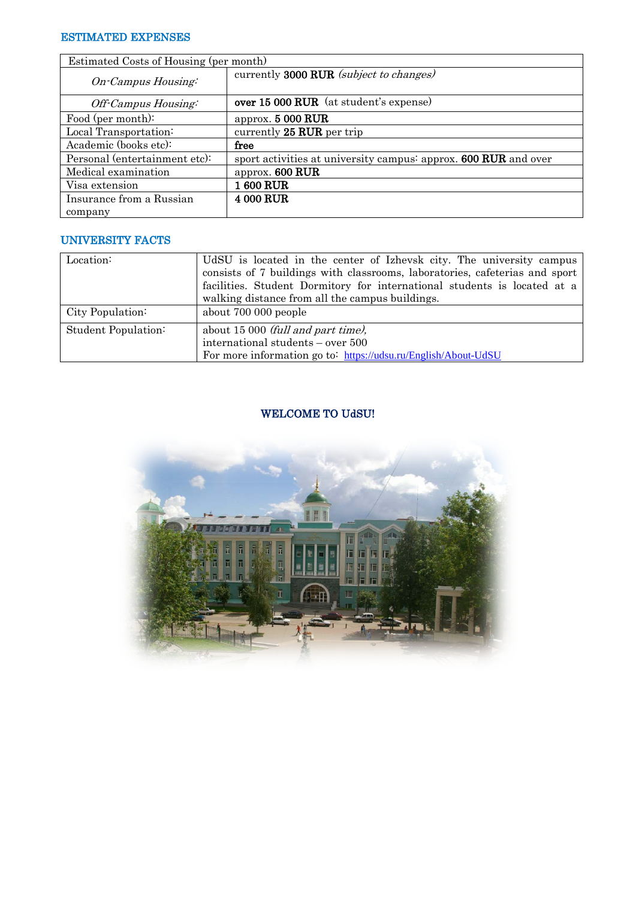## ESTIMATED EXPENSES

| Estimated Costs of Housing (per month) |                                                                 |
|----------------------------------------|-----------------------------------------------------------------|
| On-Campus Housing:                     | currently 3000 RUR (subject to changes)                         |
| Off-Campus Housing:                    | over 15 000 RUR (at student's expense)                          |
| Food (per month):                      | approx. $5000$ RUR                                              |
| Local Transportation:                  | currently 25 RUR per trip                                       |
| Academic (books etc):                  | free                                                            |
| Personal (entertainment etc):          | sport activities at university campus: approx. 600 RUR and over |
| Medical examination                    | approx. 600 RUR                                                 |
| Visa extension                         | 1 600 RUR                                                       |
| Insurance from a Russian               | <b>4 000 RUR</b>                                                |
| company                                |                                                                 |

# UNIVERSITY FACTS

| Location:           | UdSU is located in the center of Izhevsk city. The university campus<br>consists of 7 buildings with classrooms, laboratories, cafeterias and sport<br>facilities. Student Dormitory for international students is located at a<br>walking distance from all the campus buildings. |
|---------------------|------------------------------------------------------------------------------------------------------------------------------------------------------------------------------------------------------------------------------------------------------------------------------------|
| City Population:    | about 700 000 people                                                                                                                                                                                                                                                               |
| Student Population: | about 15 000 <i>(full and part time)</i> ,<br>international students – over 500<br>For more information go to: https://udsu.ru/English/About-UdSU                                                                                                                                  |

# WELCOME TO UdSU!